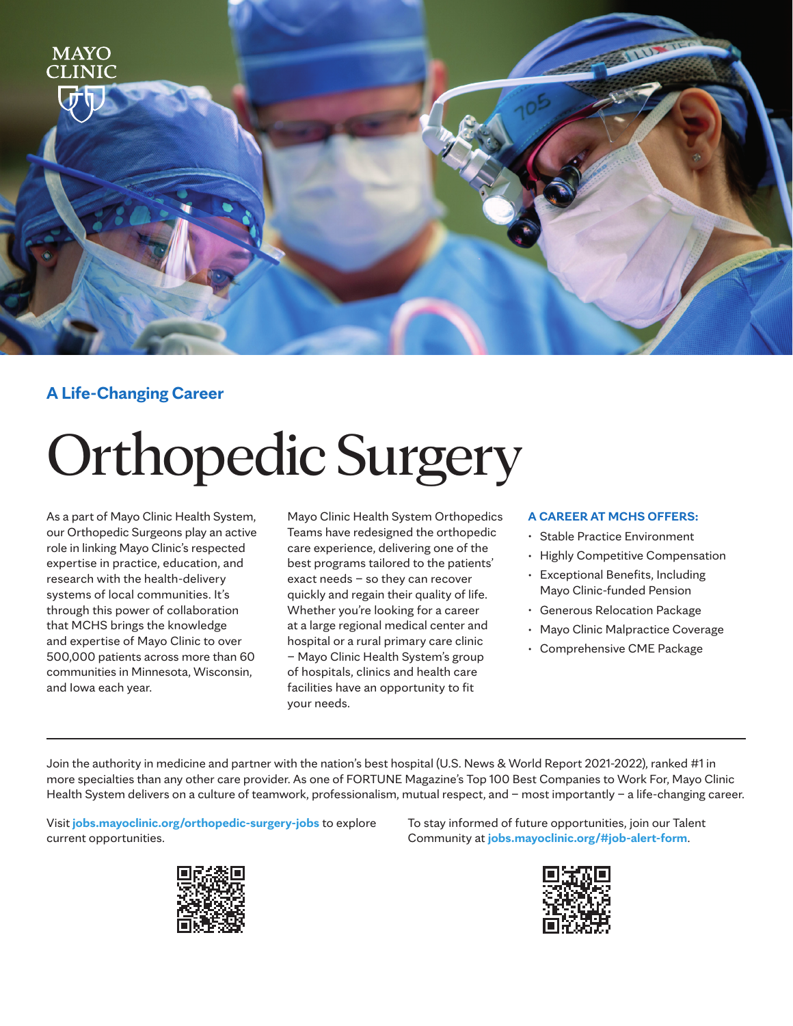

### **A Life-Changing Career**

# Orthopedic Surgery

As a part of Mayo Clinic Health System, our Orthopedic Surgeons play an active role in linking Mayo Clinic's respected expertise in practice, education, and research with the health-delivery systems of local communities. It's through this power of collaboration that MCHS brings the knowledge and expertise of Mayo Clinic to over 500,000 patients across more than 60 communities in Minnesota, Wisconsin, and Iowa each year.

Mayo Clinic Health System Orthopedics Teams have redesigned the orthopedic care experience, delivering one of the best programs tailored to the patients' exact needs – so they can recover quickly and regain their quality of life. Whether you're looking for a career at a large regional medical center and hospital or a rural primary care clinic – Mayo Clinic Health System's group of hospitals, clinics and health care facilities have an opportunity to fit your needs.

#### **A CAREER AT MCHS OFFERS:**

- Stable Practice Environment
- Highly Competitive Compensation
- Exceptional Benefits, Including Mayo Clinic-funded Pension
- Generous Relocation Package
- Mayo Clinic Malpractice Coverage
- Comprehensive CME Package

Join the authority in medicine and partner with the nation's best hospital (U.S. News & World Report 2021-2022), ranked #1 in more specialties than any other care provider. As one of FORTUNE Magazine's Top 100 Best Companies to Work For, Mayo Clinic Health System delivers on a culture of teamwork, professionalism, mutual respect, and – most importantly – a life-changing career.

Visit **jobs.mayoclinic.org/orthopedic-surgery-jobs** to explore current opportunities.



To stay informed of future opportunities, join our Talent Community at **jobs.mayoclinic.org/#job-alert-form**.